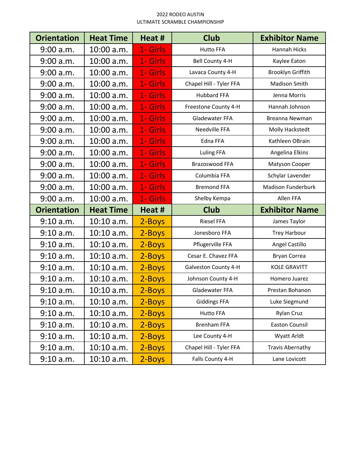## 2022 RODEO AUSTIN ULTIMATE SCRAMBLE CHAMPIONSHIP

| <b>Orientation</b> | <b>Heat Time</b> | Heat #   | <b>Club</b>             | <b>Exhibitor Name</b>     |
|--------------------|------------------|----------|-------------------------|---------------------------|
| 9:00 a.m.          | $10:00$ a.m.     | 1- Girls | <b>Hutto FFA</b>        | <b>Hannah Hicks</b>       |
| 9:00 a.m.          | 10:00 a.m.       | 1- Girls | Bell County 4-H         | Kaylee Eaton              |
| 9:00 a.m.          | 10:00 a.m.       | 1- Girls | Lavaca County 4-H       | Brooklyn Griffith         |
| 9:00 a.m.          | 10:00 a.m.       | 1- Girls | Chapel Hill - Tyler FFA | Madison Smith             |
| 9:00 a.m.          | 10:00 a.m.       | 1- Girls | <b>Hubbard FFA</b>      | Jenna Morris              |
| 9:00 a.m.          | 10:00 a.m.       | 1- Girls | Freestone County 4-H    | Hannah Johnson            |
| 9:00 a.m.          | 10:00 a.m.       | 1- Girls | Gladewater FFA          | Breanna Newman            |
| 9:00 a.m.          | 10:00 a.m.       | 1- Girls | Needville FFA           | Molly Hackstedt           |
| 9:00 a.m.          | 10:00 a.m.       | 1- Girls | Edna FFA                | Kathleen OBrain           |
| 9:00 a.m.          | 10:00 a.m.       | 1- Girls | <b>Luling FFA</b>       | Angelina Elkins           |
| 9:00 a.m.          | 10:00 a.m.       | 1- Girls | Brazoswood FFA          | Matyson Cooper            |
| 9:00 a.m.          | 10:00 a.m.       | 1- Girls | Columbia FFA            | Schylar Lavender          |
| 9:00 a.m.          | 10:00 a.m.       | 1- Girls | <b>Bremond FFA</b>      | <b>Madison Funderburk</b> |
| 9:00 a.m.          | 10:00 a.m.       | 1- Girls | Shelby Kempa            | Allen FFA                 |
| <b>Orientation</b> | <b>Heat Time</b> | Heat #   | <b>Club</b>             | <b>Exhibitor Name</b>     |
| 9:10 a.m.          | 10:10 a.m.       | 2-Boys   | <b>Riesel FFA</b>       | James Taylor              |
| 9:10 a.m.          | $10:10$ a.m.     | 2-Boys   | Jonesboro FFA           | <b>Trey Harbour</b>       |
| 9:10 a.m.          | 10:10 a.m.       | 2-Boys   | Pflugerville FFA        | Angel Castillo            |
| 9:10 a.m.          | $10:10$ a.m.     | 2-Boys   | Cesar E. Chavez FFA     | Bryan Correa              |
| 9:10 a.m.          | 10:10 a.m.       | 2-Boys   | Galveston County 4-H    | <b>KOLE GRAVITT</b>       |
| 9:10 a.m.          | $10:10$ a.m.     | 2-Boys   | Johnson County 4-H      | Homero Juarez             |
| 9:10 a.m.          | $10:10$ a.m.     | 2-Boys   | Gladewater FFA          | Prestan Bohanon           |
| 9:10 a.m.          | $10:10$ a.m.     | 2-Boys   | <b>Giddings FFA</b>     | Luke Siegmund             |
| 9:10 a.m.          | $10:10$ a.m.     | 2-Boys   | <b>Hutto FFA</b>        | <b>Rylan Cruz</b>         |
| 9:10 a.m.          | $10:10$ a.m.     | 2-Boys   | <b>Brenham FFA</b>      | <b>Easton Counsil</b>     |
| 9:10 a.m.          | $10:10$ a.m.     | 2-Boys   | Lee County 4-H          | Wyatt Arldt               |
| 9:10 a.m.          | $10:10$ a.m.     | 2-Boys   | Chapel Hill - Tyler FFA | <b>Travis Abernathy</b>   |
| 9:10 a.m.          | $10:10$ a.m.     | 2-Boys   | Falls County 4-H        | Lane Lovicott             |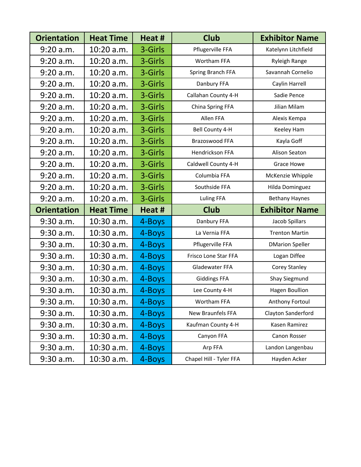| <b>Orientation</b> | <b>Heat Time</b> | Heat #  | <b>Club</b>             | <b>Exhibitor Name</b>  |
|--------------------|------------------|---------|-------------------------|------------------------|
| 9:20 a.m.          | 10:20 a.m.       | 3-Girls | Pflugerville FFA        | Katelynn Litchfield    |
| 9:20 a.m.          | 10:20 a.m.       | 3-Girls | <b>Wortham FFA</b>      | Ryleigh Range          |
| 9:20 a.m.          | 10:20 a.m.       | 3-Girls | Spring Branch FFA       | Savannah Cornelio      |
| 9:20 a.m.          | 10:20 a.m.       | 3-Girls | Danbury FFA             | Caylin Harrell         |
| 9:20 a.m.          | 10:20 a.m.       | 3-Girls | Callahan County 4-H     | Sadie Pence            |
| $9:20$ a.m.        | 10:20 a.m.       | 3-Girls | China Spring FFA        | Jilian Milam           |
| 9:20 a.m.          | 10:20 a.m.       | 3-Girls | Allen FFA               | Alexis Kempa           |
| 9:20 a.m.          | 10:20 a.m.       | 3-Girls | Bell County 4-H         | Keeley Ham             |
| 9:20 a.m.          | 10:20 a.m.       | 3-Girls | Brazoswood FFA          | Kayla Goff             |
| 9:20 a.m.          | 10:20 a.m.       | 3-Girls | Hendrickson FFA         | Alison Seaton          |
| 9:20 a.m.          | 10:20 a.m.       | 3-Girls | Caldwell County 4-H     | Grace Howe             |
| 9:20 a.m.          | 10:20 a.m.       | 3-Girls | Columbia FFA            | McKenzie Whipple       |
| 9:20 a.m.          | 10:20 a.m.       | 3-Girls | Southside FFA           | Hilda Dominguez        |
| 9:20 a.m.          | 10:20 a.m.       | 3-Girls | <b>Luling FFA</b>       | <b>Bethany Haynes</b>  |
| <b>Orientation</b> | <b>Heat Time</b> | Heat #  | <b>Club</b>             | <b>Exhibitor Name</b>  |
| 9:30 a.m.          | 10:30 a.m.       | 4-Boys  | Danbury FFA             | Jacob Spillars         |
| 9:30 a.m.          | 10:30 a.m.       | 4-Boys  | La Vernia FFA           | <b>Trenton Martin</b>  |
| 9:30 a.m.          | 10:30 a.m.       | 4-Boys  | Pflugerville FFA        | <b>DMarion Speller</b> |
| 9:30 a.m.          | 10:30 a.m.       | 4-Boys  | Frisco Lone Star FFA    | Logan Diffee           |
| 9:30 a.m.          | 10:30 a.m.       | 4-Boys  | Gladewater FFA          | Corey Stanley          |
| 9:30 a.m.          | 10:30 a.m.       | 4-Boys  | <b>Giddings FFA</b>     | Shay Siegmund          |
| $9:30$ a.m.        | 10:30 a.m.       | 4-Boys  | Lee County 4-H          | Hagen Boullion         |
| 9:30 a.m.          | 10:30 a.m.       | 4-Boys  | Wortham FFA             | Anthony Fortoul        |
| 9:30 a.m.          | 10:30 a.m.       | 4-Boys  | New Braunfels FFA       | Clayton Sanderford     |
| 9:30 a.m.          | 10:30 a.m.       | 4-Boys  | Kaufman County 4-H      | Kasen Ramirez          |
| 9:30 a.m.          | 10:30 a.m.       | 4-Boys  | Canyon FFA              | Canon Rosser           |
| 9:30 a.m.          | 10:30 a.m.       | 4-Boys  | Arp FFA                 | Landon Langenbau       |
| 9:30 a.m.          | 10:30 a.m.       | 4-Boys  | Chapel Hill - Tyler FFA | Hayden Acker           |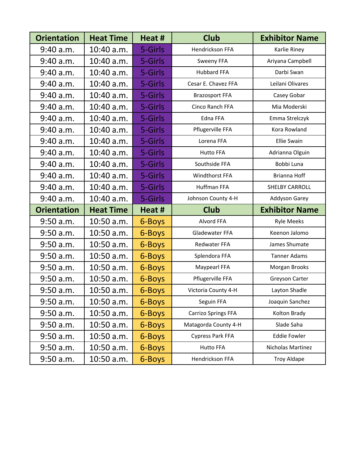| <b>Orientation</b> | <b>Heat Time</b> | Heat #  | <b>Club</b>                | <b>Exhibitor Name</b> |
|--------------------|------------------|---------|----------------------------|-----------------------|
| 9:40 a.m.          | 10:40 a.m.       | 5-Girls | Hendrickson FFA            | Karlie Riney          |
| 9:40 a.m.          | 10:40 a.m.       | 5-Girls | Sweeny FFA                 | Ariyana Campbell      |
| 9:40 a.m.          | 10:40 a.m.       | 5-Girls | <b>Hubbard FFA</b>         | Darbi Swan            |
| 9:40 a.m.          | 10:40 a.m.       | 5-Girls | Cesar E. Chavez FFA        | Leilani Olivares      |
| 9:40 a.m.          | 10:40 a.m.       | 5-Girls | <b>Brazosport FFA</b>      | Casey Gobar           |
| 9:40 a.m.          | 10:40 a.m.       | 5-Girls | Cinco Ranch FFA            | Mia Moderski          |
| 9:40 a.m.          | 10:40 a.m.       | 5-Girls | Edna FFA                   | Emma Strelczyk        |
| 9:40 a.m.          | 10:40 a.m.       | 5-Girls | Pflugerville FFA           | Kora Rowland          |
| 9:40 a.m.          | 10:40 a.m.       | 5-Girls | Lorena FFA                 | <b>Ellie Swain</b>    |
| 9:40 a.m.          | 10:40 a.m.       | 5-Girls | <b>Hutto FFA</b>           | Adrianna Olguin       |
| 9:40 a.m.          | 10:40 a.m.       | 5-Girls | Southside FFA              | Bobbi Luna            |
| 9:40 a.m.          | 10:40 a.m.       | 5-Girls | Windthorst FFA             | Brianna Hoff          |
| 9:40 a.m.          | 10:40 a.m.       | 5-Girls | Huffman FFA                | <b>SHELBY CARROLL</b> |
| 9:40 a.m.          | 10:40 a.m.       | 5-Girls | Johnson County 4-H         | <b>Addyson Garey</b>  |
| <b>Orientation</b> | <b>Heat Time</b> | Heat #  | <b>Club</b>                | <b>Exhibitor Name</b> |
| 9:50 a.m.          | 10:50 a.m.       | 6-Boys  | Alvord FFA                 | <b>Ryle Meeks</b>     |
| 9:50 a.m.          | 10:50 a.m.       | 6-Boys  | Gladewater FFA             | Keenon Jalomo         |
| $9:50$ a.m.        | 10:50 a.m.       | 6-Boys  | Redwater FFA               | James Shumate         |
| 9:50 a.m.          | 10:50 a.m.       | 6-Boys  | Splendora FFA              | <b>Tanner Adams</b>   |
| 9:50 a.m.          | 10:50 a.m.       | 6-Boys  | Maypearl FFA               | Morgan Brooks         |
| 9:50 a.m.          | 10:50 a.m.       | 6-Boys  | Pflugerville FFA           | Greyson Carter        |
| $9:50$ a.m.        | 10:50 a.m.       | 6-Boys  | Victoria County 4-H        | Layton Shadle         |
| 9:50 a.m.          | 10:50 a.m.       | 6-Boys  | Seguin FFA                 | Joaquin Sanchez       |
| 9:50 a.m.          | 10:50 a.m.       | 6-Boys  | <b>Carrizo Springs FFA</b> | Kolton Brady          |
| 9:50 a.m.          | 10:50 a.m.       | 6-Boys  | Matagorda County 4-H       | Slade Saha            |
| 9:50 a.m.          | 10:50 a.m.       | 6-Boys  | <b>Cypress Park FFA</b>    | <b>Eddie Fowler</b>   |
| 9:50 a.m.          | 10:50 a.m.       | 6-Boys  | <b>Hutto FFA</b>           | Nicholas Martinez     |
| $9:50$ a.m.        | 10:50 a.m.       | 6-Boys  | Hendrickson FFA            | <b>Troy Aldape</b>    |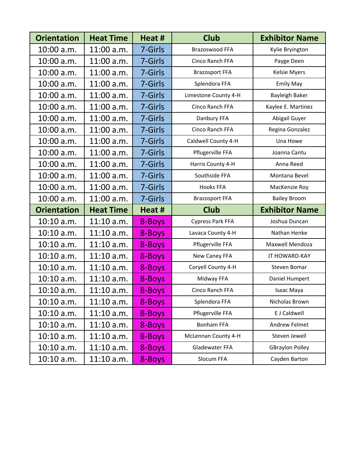| <b>Orientation</b> | <b>Heat Time</b> | Heat #  | <b>Club</b>             | <b>Exhibitor Name</b>  |
|--------------------|------------------|---------|-------------------------|------------------------|
| 10:00 a.m.         | 11:00 a.m.       | 7-Girls | Brazoswood FFA          | Kylie Bryington        |
| 10:00 a.m.         | 11:00 a.m.       | 7-Girls | Cinco Ranch FFA         | Payge Deen             |
| 10:00 a.m.         | 11:00 a.m.       | 7-Girls | <b>Brazosport FFA</b>   | Kelsie Myers           |
| 10:00 a.m.         | 11:00 a.m.       | 7-Girls | Splendora FFA           | <b>Emily May</b>       |
| 10:00 a.m.         | 11:00 a.m.       | 7-Girls | Limestone County 4-H    | Bayleigh Baker         |
| 10:00 a.m.         | 11:00 a.m.       | 7-Girls | Cinco Ranch FFA         | Kaylee E. Martinez     |
| 10:00 a.m.         | 11:00 a.m.       | 7-Girls | Danbury FFA             | Abigail Guyer          |
| 10:00 a.m.         | 11:00 a.m.       | 7-Girls | Cinco Ranch FFA         | Regina Gonzalez        |
| 10:00 a.m.         | 11:00 a.m.       | 7-Girls | Caldwell County 4-H     | Una Howe               |
| 10:00 a.m.         | 11:00 a.m.       | 7-Girls | Pflugerville FFA        | Joanna Cantu           |
| 10:00 a.m.         | 11:00 a.m.       | 7-Girls | Harris County 4-H       | Anna Reed              |
| 10:00 a.m.         | 11:00 a.m.       | 7-Girls | Southside FFA           | Montana Bevel          |
| 10:00 a.m.         | 11:00 a.m.       | 7-Girls | <b>Hooks FFA</b>        | MacKenzie Roy          |
| 10:00 a.m.         | 11:00 a.m.       | 7-Girls | <b>Brazosport FFA</b>   | <b>Bailey Broom</b>    |
| <b>Orientation</b> | <b>Heat Time</b> | Heat #  | <b>Club</b>             | <b>Exhibitor Name</b>  |
| 10:10 a.m.         | $11:10$ a.m.     | 8-Boys  | <b>Cypress Park FFA</b> | Joshua Duncan          |
| 10:10 a.m.         | $11:10$ a.m.     | 8-Boys  | Lavaca County 4-H       | Nathan Henke           |
| 10:10 a.m.         | $11:10$ a.m.     | 8-Boys  | Pflugerville FFA        | Maxwell Mendoza        |
| $10:10$ a.m.       | $11:10$ a.m.     | 8-Boys  | New Caney FFA           | JT HOWARD-KAY          |
| 10:10 a.m.         | $11:10$ a.m.     | 8-Boys  | Coryell County 4-H      | Steven Bomar           |
| 10:10 a.m.         | $11:10$ a.m.     | 8-Boys  | Midway FFA              | Daniel Humpert         |
| 10:10 a.m.         | 11:10 a.m.       | 8-Boys  | Cinco Ranch FFA         | Isaac Maya             |
| 10:10 a.m.         | $11:10$ a.m.     | 8-Boys  | Splendora FFA           | Nicholas Brown         |
| 10:10 a.m.         | $11:10$ a.m.     | 8-Boys  | Pflugerville FFA        | E J Caldwell           |
| 10:10 a.m.         | $11:10$ a.m.     | 8-Boys  | <b>Bonham FFA</b>       | <b>Andrew Felmet</b>   |
| $10:10$ a.m.       | $11:10$ a.m.     | 8-Boys  | McLennan County 4-H     | Steven Jewell          |
| 10:10 a.m.         | $11:10$ a.m.     | 8-Boys  | Gladewater FFA          | <b>GBraylon Polley</b> |
| 10:10 a.m.         | $11:10$ a.m.     | 8-Boys  | Slocum FFA              | Cayden Barton          |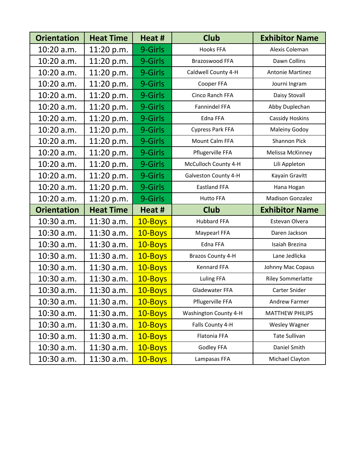| <b>Orientation</b> | <b>Heat Time</b> | Heat #  | <b>Club</b>             | <b>Exhibitor Name</b>    |
|--------------------|------------------|---------|-------------------------|--------------------------|
| 10:20 a.m.         | 11:20 p.m.       | 9-Girls | <b>Hooks FFA</b>        | Alexis Coleman           |
| 10:20 a.m.         | 11:20 p.m.       | 9-Girls | Brazoswood FFA          | Dawn Collins             |
| 10:20 a.m.         | 11:20 p.m.       | 9-Girls | Caldwell County 4-H     | <b>Antonie Martinez</b>  |
| 10:20 a.m.         | 11:20 p.m.       | 9-Girls | Cooper FFA              | Journi Ingram            |
| 10:20 a.m.         | 11:20 p.m.       | 9-Girls | Cinco Ranch FFA         | Daisy Stovall            |
| 10:20 a.m.         | 11:20 p.m.       | 9-Girls | Fannindel FFA           | Abby Duplechan           |
| 10:20 a.m.         | 11:20 p.m.       | 9-Girls | Edna FFA                | <b>Cassidy Hoskins</b>   |
| 10:20 a.m.         | 11:20 p.m.       | 9-Girls | <b>Cypress Park FFA</b> | <b>Maleiny Godoy</b>     |
| 10:20 a.m.         | 11:20 p.m.       | 9-Girls | Mount Calm FFA          | Shannon Pick             |
| 10:20 a.m.         | 11:20 p.m.       | 9-Girls | Pflugerville FFA        | Melissa McKinney         |
| 10:20 a.m.         | 11:20 p.m.       | 9-Girls | McCulloch County 4-H    | Lili Appleton            |
| 10:20 a.m.         | 11:20 p.m.       | 9-Girls | Galveston County 4-H    | Kayain Gravitt           |
| 10:20 a.m.         | 11:20 p.m.       | 9-Girls | <b>Eastland FFA</b>     | Hana Hogan               |
| 10:20 a.m.         | 11:20 p.m.       | 9-Girls | <b>Hutto FFA</b>        | <b>Madison Gonzalez</b>  |
| <b>Orientation</b> | <b>Heat Time</b> | Heat #  | <b>Club</b>             | <b>Exhibitor Name</b>    |
| 10:30 a.m.         | 11:30 a.m.       | 10-Boys | <b>Hubbard FFA</b>      | Estevan Olvera           |
| 10:30 a.m.         | 11:30 a.m.       | 10-Boys | Maypearl FFA            | Daren Jackson            |
| 10:30 a.m.         | 11:30 a.m.       | 10-Boys | Edna FFA                | Isaiah Brezina           |
| 10:30 a.m.         | 11:30 a.m.       | 10-Boys | Brazos County 4-H       | Lane Jedlicka            |
| 10:30 a.m.         | 11:30 a.m.       | 10-Boys | <b>Kennard FFA</b>      | Johnny Mac Copaus        |
| 10:30 a.m.         | 11:30 a.m.       | 10-Boys | <b>Luling FFA</b>       | <b>Riley Sommerlatte</b> |
| 10:30 a.m.         | 11:30 a.m.       | 10-Boys | Gladewater FFA          | Carter Snider            |
| 10:30 a.m.         | 11:30 a.m.       | 10-Boys | Pflugerville FFA        | Andrew Farmer            |
| 10:30 a.m.         | 11:30 a.m.       | 10-Boys | Washington County 4-H   | MATTHEW PHILIPS          |
| 10:30 a.m.         | 11:30 a.m.       | 10-Boys | Falls County 4-H        | Wesley Wagner            |
| 10:30 a.m.         | 11:30 a.m.       | 10-Boys | Flatonia FFA            | <b>Tate Sullivan</b>     |
| 10:30 a.m.         | 11:30 a.m.       | 10-Boys | Godley FFA              | Daniel Smith             |
| 10:30 a.m.         | 11:30 a.m.       | 10-Boys | Lampasas FFA            | Michael Clayton          |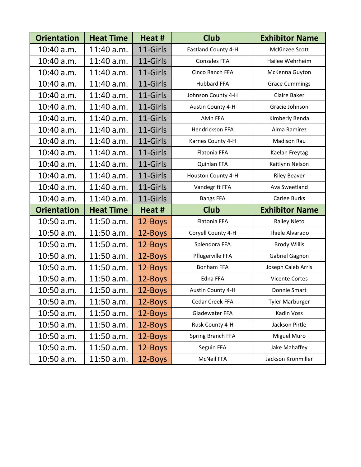| <b>Orientation</b> | <b>Heat Time</b> | Heat #   | <b>Club</b>         | <b>Exhibitor Name</b>  |
|--------------------|------------------|----------|---------------------|------------------------|
| 10:40 a.m.         | 11:40 a.m.       | 11-Girls | Eastland County 4-H | McKinzee Scott         |
| 10:40 a.m.         | 11:40 a.m.       | 11-Girls | <b>Gonzales FFA</b> | Hailee Wehrheim        |
| 10:40 a.m.         | 11:40 a.m.       | 11-Girls | Cinco Ranch FFA     | McKenna Guyton         |
| 10:40 a.m.         | 11:40 a.m.       | 11-Girls | <b>Hubbard FFA</b>  | <b>Grace Cummings</b>  |
| 10:40 a.m.         | 11:40 a.m.       | 11-Girls | Johnson County 4-H  | Claire Baker           |
| 10:40 a.m.         | 11:40 a.m.       | 11-Girls | Austin County 4-H   | Gracie Johnson         |
| 10:40 a.m.         | 11:40 a.m.       | 11-Girls | Alvin FFA           | Kimberly Benda         |
| 10:40 a.m.         | 11:40 a.m.       | 11-Girls | Hendrickson FFA     | Alma Ramirez           |
| 10:40 a.m.         | 11:40 a.m.       | 11-Girls | Karnes County 4-H   | <b>Madison Rau</b>     |
| 10:40 a.m.         | 11:40 a.m.       | 11-Girls | Flatonia FFA        | Kaelan Freytag         |
| 10:40 a.m.         | 11:40 a.m.       | 11-Girls | Quinlan FFA         | Kaitlynn Nelson        |
| 10:40 a.m.         | 11:40 a.m.       | 11-Girls | Houston County 4-H  | <b>Riley Beaver</b>    |
| 10:40 a.m.         | 11:40 a.m.       | 11-Girls | Vandegrift FFA      | Ava Sweetland          |
| 10:40 a.m.         | 11:40 a.m.       | 11-Girls | <b>Bangs FFA</b>    | Carlee Burks           |
| <b>Orientation</b> | <b>Heat Time</b> | Heat #   | <b>Club</b>         | <b>Exhibitor Name</b>  |
| 10:50 a.m.         | 11:50 a.m.       | 12-Boys  | Flatonia FFA        | <b>Railey Nieto</b>    |
| 10:50 a.m.         | 11:50 a.m.       | 12-Boys  | Coryell County 4-H  | Thiele Alvarado        |
| 10:50 a.m.         | 11:50 a.m.       | 12-Boys  | Splendora FFA       | <b>Brody Willis</b>    |
| 10:50 a.m.         | 11:50 a.m.       | 12-Boys  | Pflugerville FFA    | Gabriel Gagnon         |
| 10:50 a.m.         | 11:50 a.m.       | 12-Boys  | <b>Bonham FFA</b>   | Joseph Caleb Arris     |
| 10:50 a.m.         | 11:50 a.m.       | 12-Boys  | Edna FFA            | <b>Vicente Cortes</b>  |
| 10:50 a.m.         | 11:50 a.m.       | 12-Boys  | Austin County 4-H   | Donnie Smart           |
| 10:50 a.m.         | 11:50 a.m.       | 12-Boys  | Cedar Creek FFA     | <b>Tyler Marburger</b> |
| 10:50 a.m.         | 11:50 a.m.       | 12-Boys  | Gladewater FFA      | Kadin Voss             |
| 10:50 a.m.         | 11:50 a.m.       | 12-Boys  | Rusk County 4-H     | Jackson Pirtle         |
| 10:50 a.m.         | 11:50 a.m.       | 12-Boys  | Spring Branch FFA   | Miguel Muro            |
| 10:50 a.m.         | 11:50 a.m.       | 12-Boys  | Seguin FFA          | Jake Mahaffey          |
| 10:50 a.m.         | 11:50 a.m.       | 12-Boys  | McNeil FFA          | Jackson Kronmiller     |